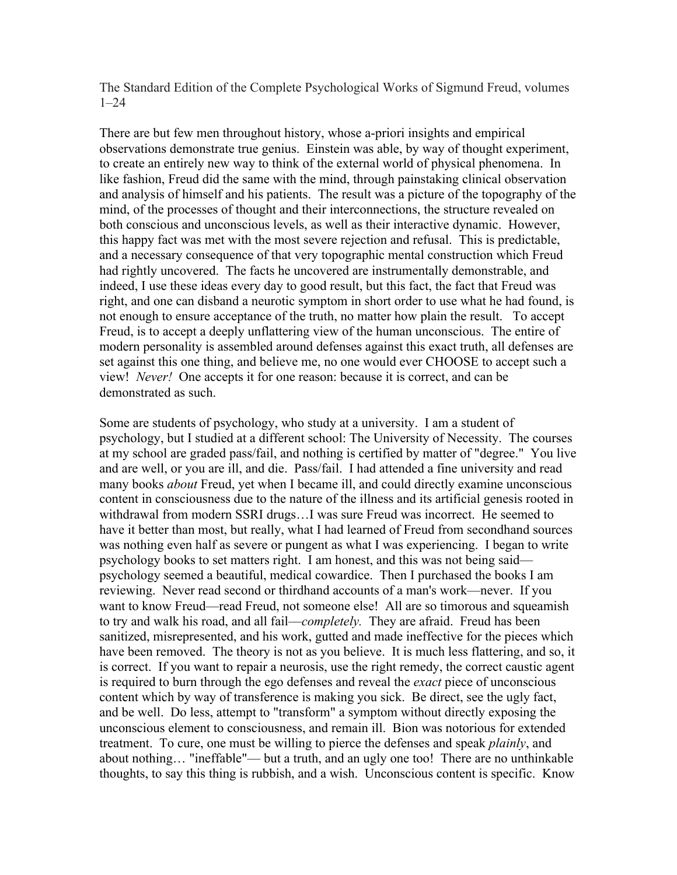The Standard Edition of the Complete Psychological Works of Sigmund Freud, volumes 1–24

There are but few men throughout history, whose a-priori insights and empirical observations demonstrate true genius. Einstein was able, by way of thought experiment, to create an entirely new way to think of the external world of physical phenomena. In like fashion, Freud did the same with the mind, through painstaking clinical observation and analysis of himself and his patients. The result was a picture of the topography of the mind, of the processes of thought and their interconnections, the structure revealed on both conscious and unconscious levels, as well as their interactive dynamic. However, this happy fact was met with the most severe rejection and refusal. This is predictable, and a necessary consequence of that very topographic mental construction which Freud had rightly uncovered. The facts he uncovered are instrumentally demonstrable, and indeed, I use these ideas every day to good result, but this fact, the fact that Freud was right, and one can disband a neurotic symptom in short order to use what he had found, is not enough to ensure acceptance of the truth, no matter how plain the result. To accept Freud, is to accept a deeply unflattering view of the human unconscious. The entire of modern personality is assembled around defenses against this exact truth, all defenses are set against this one thing, and believe me, no one would ever CHOOSE to accept such a view! *Never!* One accepts it for one reason: because it is correct, and can be demonstrated as such.

Some are students of psychology, who study at a university. I am a student of psychology, but I studied at a different school: The University of Necessity. The courses at my school are graded pass/fail, and nothing is certified by matter of "degree." You live and are well, or you are ill, and die. Pass/fail. I had attended a fine university and read many books *about* Freud, yet when I became ill, and could directly examine unconscious content in consciousness due to the nature of the illness and its artificial genesis rooted in withdrawal from modern SSRI drugs…I was sure Freud was incorrect. He seemed to have it better than most, but really, what I had learned of Freud from secondhand sources was nothing even half as severe or pungent as what I was experiencing. I began to write psychology books to set matters right. I am honest, and this was not being said–– psychology seemed a beautiful, medical cowardice. Then I purchased the books I am reviewing. Never read second or thirdhand accounts of a man's work––never. If you want to know Freud––read Freud, not someone else! All are so timorous and squeamish to try and walk his road, and all fail––*completely.* They are afraid. Freud has been sanitized, misrepresented, and his work, gutted and made ineffective for the pieces which have been removed. The theory is not as you believe. It is much less flattering, and so, it is correct. If you want to repair a neurosis, use the right remedy, the correct caustic agent is required to burn through the ego defenses and reveal the *exact* piece of unconscious content which by way of transference is making you sick. Be direct, see the ugly fact, and be well. Do less, attempt to "transform" a symptom without directly exposing the unconscious element to consciousness, and remain ill. Bion was notorious for extended treatment. To cure, one must be willing to pierce the defenses and speak *plainly*, and about nothing… "ineffable"–– but a truth, and an ugly one too! There are no unthinkable thoughts, to say this thing is rubbish, and a wish. Unconscious content is specific. Know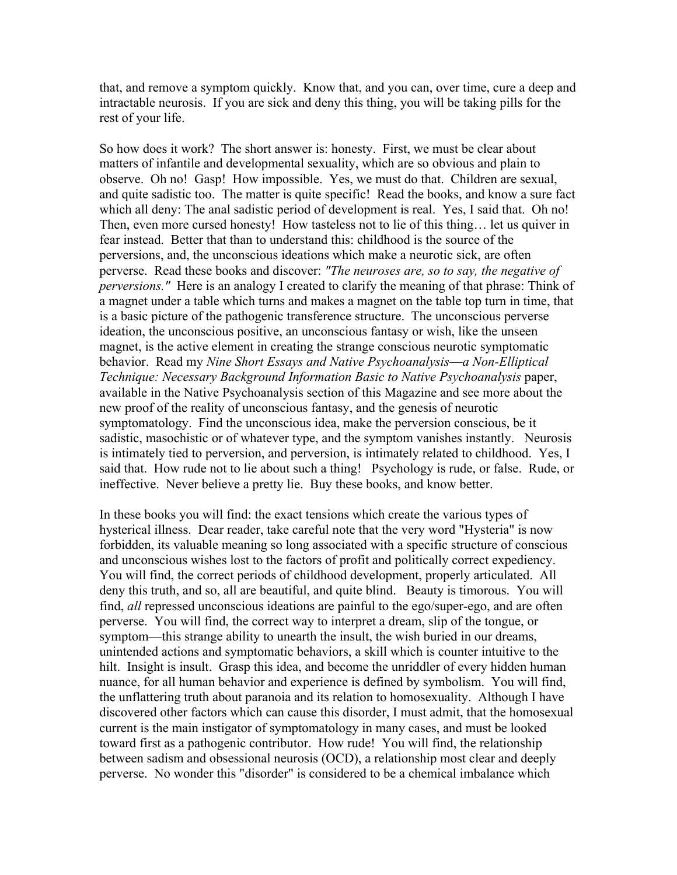that, and remove a symptom quickly. Know that, and you can, over time, cure a deep and intractable neurosis. If you are sick and deny this thing, you will be taking pills for the rest of your life.

So how does it work? The short answer is: honesty. First, we must be clear about matters of infantile and developmental sexuality, which are so obvious and plain to observe. Oh no! Gasp! How impossible. Yes, we must do that. Children are sexual, and quite sadistic too. The matter is quite specific! Read the books, and know a sure fact which all deny: The anal sadistic period of development is real. Yes, I said that. Oh no! Then, even more cursed honesty! How tasteless not to lie of this thing… let us quiver in fear instead. Better that than to understand this: childhood is the source of the perversions, and, the unconscious ideations which make a neurotic sick, are often perverse. Read these books and discover: *"The neuroses are, so to say, the negative of perversions."* Here is an analogy I created to clarify the meaning of that phrase: Think of a magnet under a table which turns and makes a magnet on the table top turn in time, that is a basic picture of the pathogenic transference structure. The unconscious perverse ideation, the unconscious positive, an unconscious fantasy or wish, like the unseen magnet, is the active element in creating the strange conscious neurotic symptomatic behavior. Read my *Nine Short Essays and Native Psychoanalysis––a Non-Elliptical Technique: Necessary Background Information Basic to Native Psychoanalysis* paper, available in the Native Psychoanalysis section of this Magazine and see more about the new proof of the reality of unconscious fantasy, and the genesis of neurotic symptomatology. Find the unconscious idea, make the perversion conscious, be it sadistic, masochistic or of whatever type, and the symptom vanishes instantly. Neurosis is intimately tied to perversion, and perversion, is intimately related to childhood. Yes, I said that. How rude not to lie about such a thing! Psychology is rude, or false. Rude, or ineffective. Never believe a pretty lie. Buy these books, and know better.

In these books you will find: the exact tensions which create the various types of hysterical illness. Dear reader, take careful note that the very word "Hysteria" is now forbidden, its valuable meaning so long associated with a specific structure of conscious and unconscious wishes lost to the factors of profit and politically correct expediency. You will find, the correct periods of childhood development, properly articulated. All deny this truth, and so, all are beautiful, and quite blind. Beauty is timorous. You will find, *all* repressed unconscious ideations are painful to the ego/super-ego, and are often perverse. You will find, the correct way to interpret a dream, slip of the tongue, or symptom––this strange ability to unearth the insult, the wish buried in our dreams, unintended actions and symptomatic behaviors, a skill which is counter intuitive to the hilt. Insight is insult. Grasp this idea, and become the unriddler of every hidden human nuance, for all human behavior and experience is defined by symbolism. You will find, the unflattering truth about paranoia and its relation to homosexuality. Although I have discovered other factors which can cause this disorder, I must admit, that the homosexual current is the main instigator of symptomatology in many cases, and must be looked toward first as a pathogenic contributor. How rude! You will find, the relationship between sadism and obsessional neurosis (OCD), a relationship most clear and deeply perverse. No wonder this "disorder" is considered to be a chemical imbalance which